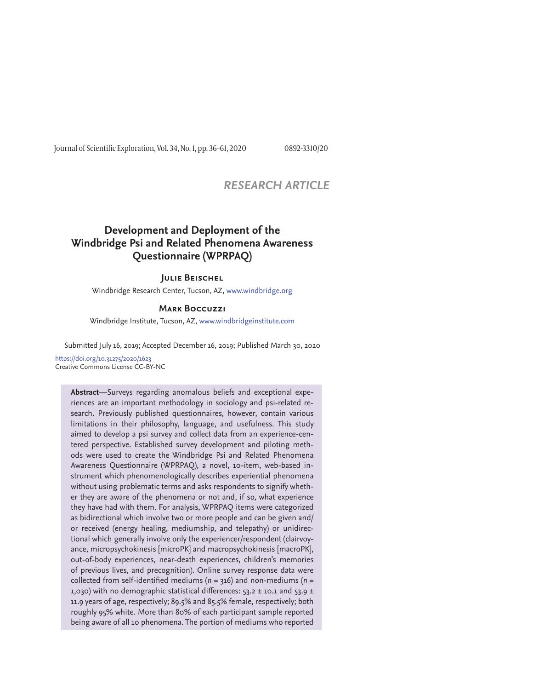Journal of Scientific Exploration, Vol. 34, No. 1, pp. 36-61, 2020 0892-3310/20

## *RESEARCH ARTICLE*

# **Development and Deployment of the Windbridge Psi and Related Phenomena Awareness Questionnaire (WPRPAQ)**

## **Julie Beischel**

Windbridge Research Center, Tucson, AZ, www.windbridge.org

#### **Mark Boccuzzi**

Windbridge Institute, Tucson, AZ, www.windbridgeinstitute.com

Submitted July 16, 2019; Accepted December 16, 2019; Published March 30, 2020

https://doi.org/10.31275/2020/1623 Creative Commons License CC-BY-NC

> **Abstract**—Surveys regarding anomalous beliefs and exceptional experiences are an important methodology in sociology and psi-related research. Previously published questionnaires, however, contain various limitations in their philosophy, language, and usefulness. This study aimed to develop a psi survey and collect data from an experience-centered perspective. Established survey development and piloting methods were used to create the Windbridge Psi and Related Phenomena Awareness Questionnaire (WPRPAQ), a novel, 10-item, web-based instrument which phenomenologically describes experiential phenomena without using problematic terms and asks respondents to signify whether they are aware of the phenomena or not and, if so, what experience they have had with them. For analysis, WPRPAQ items were categorized as bidirectional which involve two or more people and can be given and/ or received (energy healing, mediumship, and telepathy) or unidirectional which generally involve only the experiencer/respondent (clairvoyance, micropsychokinesis [microPK] and macropsychokinesis [macroPK], out-of-body experiences, near-death experiences, children's memories of previous lives, and precognition). Online survey response data were collected from self-identified mediums ( $n = 316$ ) and non-mediums ( $n =$ 1,030) with no demographic statistical differences:  $53.2 \pm 10.1$  and  $53.9 \pm 10.1$ 11.9 years of age, respectively; 89.5% and 85.5% female, respectively; both roughly 95% white. More than 80% of each participant sample reported being aware of all 10 phenomena. The portion of mediums who reported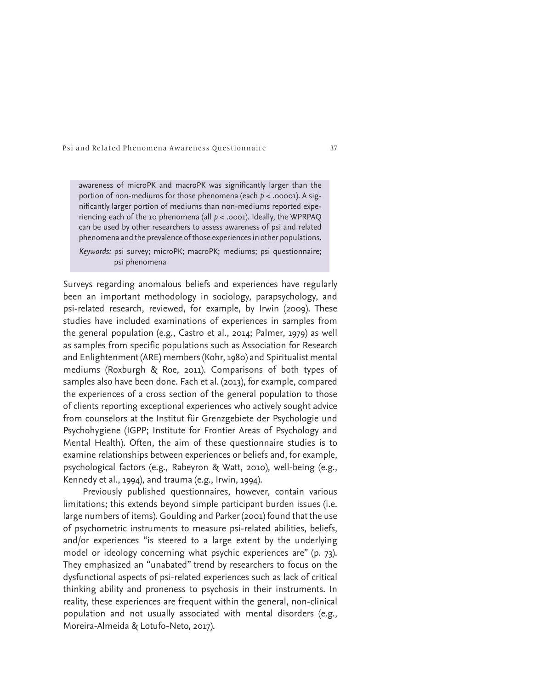awareness of microPK and macroPK was significantly larger than the portion of non-mediums for those phenomena (each *p* < .00001). A significantly larger portion of mediums than non-mediums reported experiencing each of the 10 phenomena (all *p* < .0001). Ideally, the WPRPAQ can be used by other researchers to assess awareness of psi and related phenomena and the prevalence of those experiences in other populations.

*Keywords:* psi survey; microPK; macroPK; mediums; psi questionnaire; psi phenomena

Surveys regarding anomalous beliefs and experiences have regularly been an important methodology in sociology, parapsychology, and psi-related research, reviewed, for example, by Irwin (2009). These studies have included examinations of experiences in samples from the general population (e.g., Castro et al., 2014; Palmer, 1979) as well as samples from specific populations such as Association for Research and Enlightenment (ARE) members (Kohr, 1980) and Spiritualist mental mediums (Roxburgh & Roe, 2011). Comparisons of both types of samples also have been done. Fach et al. (2013), for example, compared the experiences of a cross section of the general population to those of clients reporting exceptional experiences who actively sought advice from counselors at the Institut für Grenzgebiete der Psychologie und Psychohygiene (IGPP; Institute for Frontier Areas of Psychology and Mental Health). Often, the aim of these questionnaire studies is to examine relationships between experiences or beliefs and, for example, psychological factors (e.g., Rabeyron & Watt, 2010), well-being (e.g., Kennedy et al., 1994), and trauma (e.g., Irwin, 1994).

Previously published questionnaires, however, contain various limitations; this extends beyond simple participant burden issues (i.e. large numbers of items). Goulding and Parker (2001) found that the use of psychometric instruments to measure psi-related abilities, beliefs, and/or experiences "is steered to a large extent by the underlying model or ideology concerning what psychic experiences are" (p. 73). They emphasized an "unabated" trend by researchers to focus on the dysfunctional aspects of psi-related experiences such as lack of critical thinking ability and proneness to psychosis in their instruments. In reality, these experiences are frequent within the general, non-clinical population and not usually associated with mental disorders (e.g., Moreira-Almeida & Lotufo-Neto, 2017).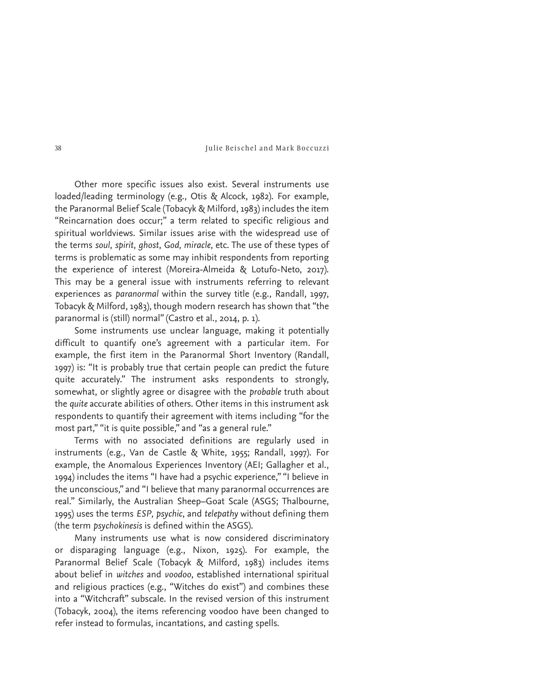Other more specific issues also exist. Several instruments use loaded/leading terminology (e.g., Otis & Alcock, 1982). For example, the Paranormal Belief Scale (Tobacyk & Milford, 1983) includes the item "Reincarnation does occur;" a term related to specific religious and spiritual worldviews. Similar issues arise with the widespread use of the terms *soul*, *spirit*, *ghost*, *God*, *miracle*, etc. The use of these types of terms is problematic as some may inhibit respondents from reporting the experience of interest (Moreira-Almeida & Lotufo-Neto, 2017). This may be a general issue with instruments referring to relevant experiences as *paranormal* within the survey title (e.g., Randall, 1997, Tobacyk & Milford, 1983), though modern research has shown that "the paranormal is (still) normal" (Castro et al., 2014, p. 1).

Some instruments use unclear language, making it potentially difficult to quantify one's agreement with a particular item. For example, the first item in the Paranormal Short Inventory (Randall, 1997) is: "It is probably true that certain people can predict the future quite accurately." The instrument asks respondents to strongly, somewhat, or slightly agree or disagree with the *probable* truth about the *quite* accurate abilities of others. Other items in this instrument ask respondents to quantify their agreement with items including "for the most part," "it is quite possible," and "as a general rule."

Terms with no associated definitions are regularly used in instruments (e.g., Van de Castle & White, 1955; Randall, 1997). For example, the Anomalous Experiences Inventory (AEI; Gallagher et al., 1994) includes the items "I have had a psychic experience," "I believe in the unconscious," and "I believe that many paranormal occurrences are real." Similarly, the Australian Sheep–Goat Scale (ASGS; Thalbourne, 1995) uses the terms *ESP*, *psychic*, and *telepathy* without defining them (the term *psychokinesis* is defined within the ASGS).

Many instruments use what is now considered discriminatory or disparaging language (e.g., Nixon, 1925). For example, the Paranormal Belief Scale (Tobacyk & Milford, 1983) includes items about belief in *witches* and *voodoo*, established international spiritual and religious practices (e.g., "Witches do exist") and combines these into a "Witchcraft" subscale. In the revised version of this instrument ( Tobacyk, 2004), the items referencing voodoo have been changed to refer instead to formulas, incantations, and casting spells.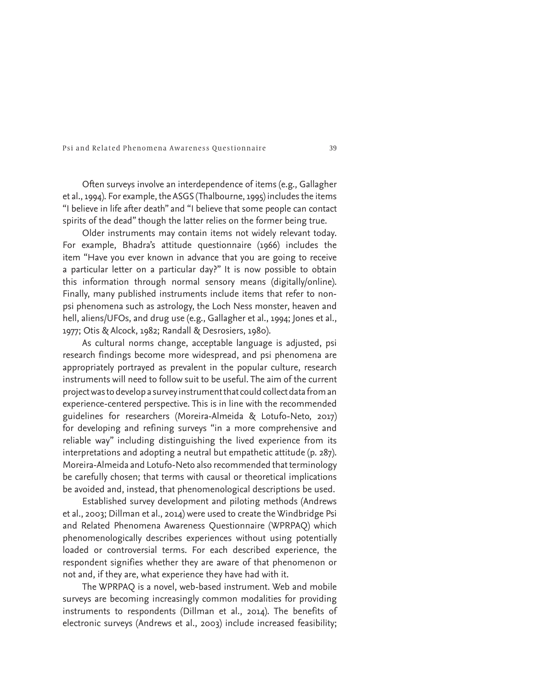Often surveys involve an interdependence of items (e.g., Gallagher et al., 1994). For example, the ASGS (Thalbourne, 1995) includes the items "I believe in life after death" and "I believe that some people can contact spirits of the dead" though the latter relies on the former being true.

Older instruments may contain items not widely relevant today. For example, Bhadra's attitude questionnaire (1966) includes the item "Have you ever known in advance that you are going to receive a particular letter on a particular day?" It is now possible to obtain this information through normal sensory means (digitally/online). Finally, many published instruments include items that refer to nonpsi phenomena such as astrology, the Loch Ness monster, heaven and hell, aliens/UFOs, and drug use (e.g., Gallagher et al., 1994; Jones et al., 1977; Otis & Alcock, 1982; Randall & Desrosiers, 1980).

As cultural norms change, acceptable language is adjusted, psi research findings become more widespread, and psi phenomena are appropriately portrayed as prevalent in the popular culture, research instruments will need to follow suit to be useful. The aim of the current project was to develop a survey instrument that could collect data from an experience-centered perspective. This is in line with the recommended guidelines for researchers (Moreira-Almeida & Lotufo-Neto, 2017) for developing and refining surveys "in a more comprehensive and reliable way" including distinguishing the lived experience from its interpretations and adopting a neutral but empathetic attitude (p. 287). Moreira-Almeida and Lotufo-Neto also recommended that terminology be carefully chosen; that terms with causal or theoretical implications be avoided and, instead, that phenomenological descriptions be used.

Established survey development and piloting methods (Andrews et al., 2003; Dillman et al., 2014) were used to create the Windbridge Psi and Related Phenomena Awareness Questionnaire (WPRPAQ) which phenomenologically describes experiences without using potentially loaded or controversial terms. For each described experience, the respondent signifies whether they are aware of that phenomenon or not and, if they are, what experience they have had with it.

The WPRPAQ is a novel, web-based instrument. Web and mobile surveys are becoming increasingly common modalities for providing instruments to respondents (Dillman et al., 2014). The benefits of electronic surveys (Andrews et al., 2003) include increased feasibility;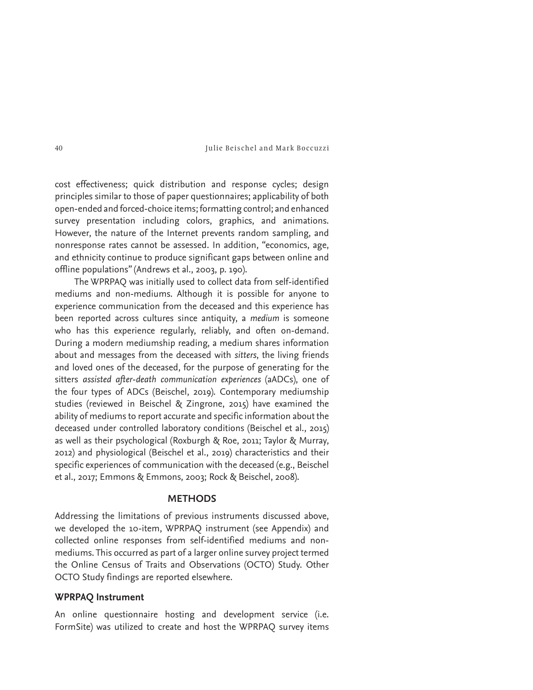cost effectiveness; quick distribution and response cycles; design principles similar to those of paper questionnaires; applicability of both open-ended and forced-choice items; formatting control; and enhanced survey presentation including colors, graphics, and animations. However, the nature of the Internet prevents random sampling, and nonresponse rates cannot be assessed. In addition, "economics, age, and ethnicity continue to produce significant gaps between online and offline populations" (Andrews et al., 2003, p. 190).

The WPRPAQ was initially used to collect data from self-identified mediums and non-mediums. Although it is possible for anyone to experience communication from the deceased and this experience has been reported across cultures since antiquity, a *medium* is someone who has this experience regularly, reliably, and often on-demand. During a modern mediumship reading, a medium shares information about and messages from the deceased with *sitters*, the living friends and loved ones of the deceased, for the purpose of generating for the sitters *assisted after-death communication experiences* (aADCs), one of the four types of ADCs (Beischel, 2019). Contemporary mediumship studies (reviewed in Beischel & Zingrone, 2015) have examined the ability of mediums to report accurate and specific information about the deceased under controlled laboratory conditions (Beischel et al., 2015) as well as their psychological (Roxburgh & Roe, 2011; Taylor & Murray, 2012) and physiological (Beischel et al., 2019) characteristics and their specific experiences of communication with the deceased (e.g., Beischel et al., 2017; Emmons & Emmons, 2003; Rock & Beischel, 2008).

## **METHODS**

Addressing the limitations of previous instruments discussed above, we developed the 10-item, WPRPAQ instrument (see Appendix) and collected online responses from self-identified mediums and nonmediums. This occurred as part of a larger online survey project termed the Online Census of Traits and Observations (OCTO) Study. Other OCTO Study findings are reported elsewhere.

## **WPRPAQ Instrument**

An online questionnaire hosting and development service (i.e. FormSite) was utilized to create and host the WPRPAQ survey items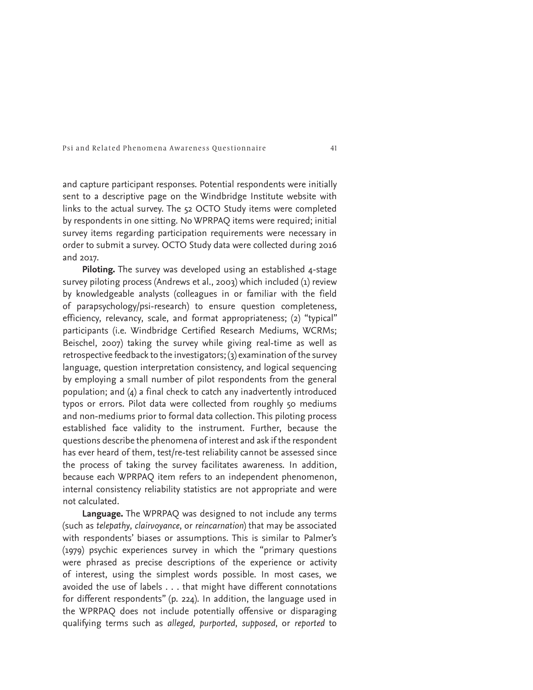and capture participant responses. Potential respondents were initially sent to a descriptive page on the Windbridge Institute website with links to the actual survey. The 52 OCTO Study items were completed by respondents in one sitting. No WPRPAQ items were required; initial survey items regarding participation requirements were necessary in order to submit a survey. OCTO Study data were collected during 2016 and 2017.

**Piloting.** The survey was developed using an established 4-stage survey piloting process (Andrews et al., 2003) which included (1) review by knowledgeable analysts (colleagues in or familiar with the field of parapsychology/psi-research) to ensure question completeness, efficiency, relevancy, scale, and format appropriateness; (2) "typical" participants (i.e. Windbridge Certified Research Mediums, WCRMs; Beischel, 2007) taking the survey while giving real-time as well as retrospective feedback to the investigators; (3) examination of the survey language, question interpretation consistency, and logical sequencing by employing a small number of pilot respondents from the general population; and (4) a final check to catch any inadvertently introduced typos or errors. Pilot data were collected from roughly 50 mediums and non-mediums prior to formal data collection. This piloting process established face validity to the instrument. Further, because the questions describe the phenomena of interest and ask if the respondent has ever heard of them, test/re-test reliability cannot be assessed since the process of taking the survey facilitates awareness. In addition, because each WPRPAQ item refers to an independent phenomenon, internal consistency reliability statistics are not appropriate and were not calculated.

**Language.** The WPRPAQ was designed to not include any terms (such as *telepathy*, *clairvoyance*, or *reincarnation*) that may be associated with respondents' biases or assumptions. This is similar to Palmer's (1979) psychic experiences survey in which the "primary questions were phrased as precise descriptions of the experience or activity of interest, using the simplest words possible. In most cases, we avoided the use of labels . . . that might have different connotations for different respondents" (p. 224). In addition, the language used in the WPRPAQ does not include potentially offensive or disparaging qualifying terms such as *alleged*, *purported*, *supposed*, or *reported* to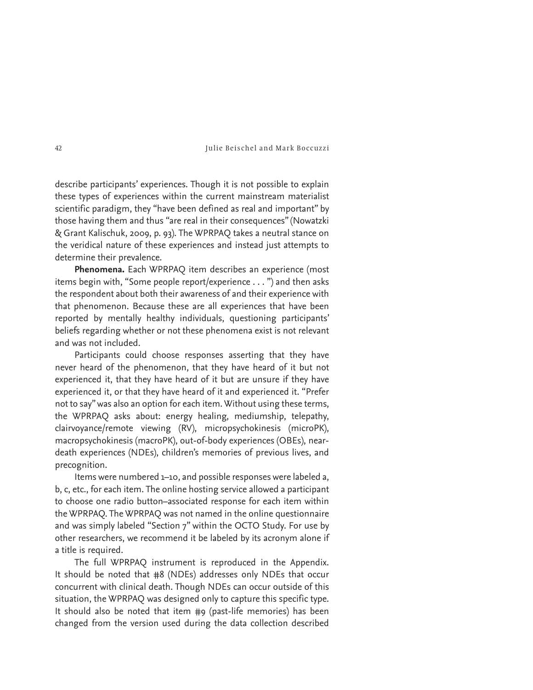describe participants' experiences. Though it is not possible to explain these types of experiences within the current mainstream materialist scientific paradigm, they "have been defined as real and important" by those having them and thus "are real in their consequences" (Nowatzki & Grant Kalischuk, 2009, p. 93). The WPRPAQ takes a neutral stance on the veridical nature of these experiences and instead just attempts to determine their prevalence.

**Phenomena.** Each WPRPAQ item describes an experience (most items begin with, "Some people report/experience . . . ") and then asks the respondent about both their awareness of and their experience with that phenomenon. Because these are all experiences that have been reported by mentally healthy individuals, questioning participants' beliefs regarding whether or not these phenomena exist is not relevant and was not included.

Participants could choose responses asserting that they have never heard of the phenomenon, that they have heard of it but not experienced it, that they have heard of it but are unsure if they have experienced it, or that they have heard of it and experienced it. "Prefer not to say" was also an option for each item. Without using these terms, the WPRPAQ asks about: energy healing, mediumship, telepathy, clairvoyance/remote viewing (RV), micropsychokinesis (microPK), macropsychokinesis (macroPK), out-of-body experiences (OBEs), neardeath experiences (NDEs), children's memories of previous lives, and precognition.

Items were numbered 1–10, and possible responses were labeled a, b, c, etc., for each item. The online hosting service allowed a participant to choose one radio button–associated response for each item within the WPRPAQ. The WPRPAQ was not named in the online questionnaire and was simply labeled "Section 7" within the OCTO Study. For use by other researchers, we recommend it be labeled by its acronym alone if a title is required.

The full WPRPAQ instrument is reproduced in the Appendix. It should be noted that #8 (NDEs) addresses only NDEs that occur concurrent with clinical death. Though NDEs can occur outside of this situation, the WPRPAQ was designed only to capture this specific type. It should also be noted that item #9 (past-life memories) has been changed from the version used during the data collection described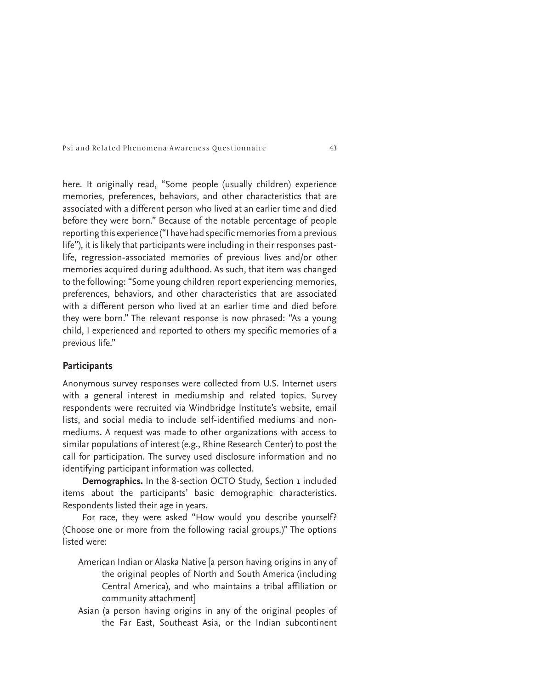here. It originally read, "Some people (usually children) experience memories, preferences, behaviors, and other characteristics that are associated with a different person who lived at an earlier time and died before they were born." Because of the notable percentage of people reporting this experience ("I have had specific memories from a previous life"), it is likely that participants were including in their responses pastlife, regression-associated memories of previous lives and/or other memories acquired during adulthood. As such, that item was changed to the following: "Some young children report experiencing memories, preferences, behaviors, and other characteristics that are associated with a different person who lived at an earlier time and died before they were born." The relevant response is now phrased: "As a young child, I experienced and reported to others my specific memories of a previous life."

## **Participants**

Anonymous survey responses were collected from U.S. Internet users with a general interest in mediumship and related topics. Survey respondents were recruited via Windbridge Institute's website, email lists, and social media to include self-identified mediums and nonmediums. A request was made to other organizations with access to similar populations of interest (e.g., Rhine Research Center) to post the call for participation. The survey used disclosure information and no identifying participant information was collected.

**Demographics.** In the 8-section OCTO Study, Section 1 included items about the participants' basic demographic characteristics. Respondents listed their age in years.

For race, they were asked "How would you describe yourself? (Choose one or more from the following racial groups.)" The options listed were:

- American Indian or Alaska Native [a person having origins in any of the original peoples of North and South America (including Central America), and who maintains a tribal affiliation or community attachment]
- Asian (a person having origins in any of the original peoples of the Far East, Southeast Asia, or the Indian subcontinent

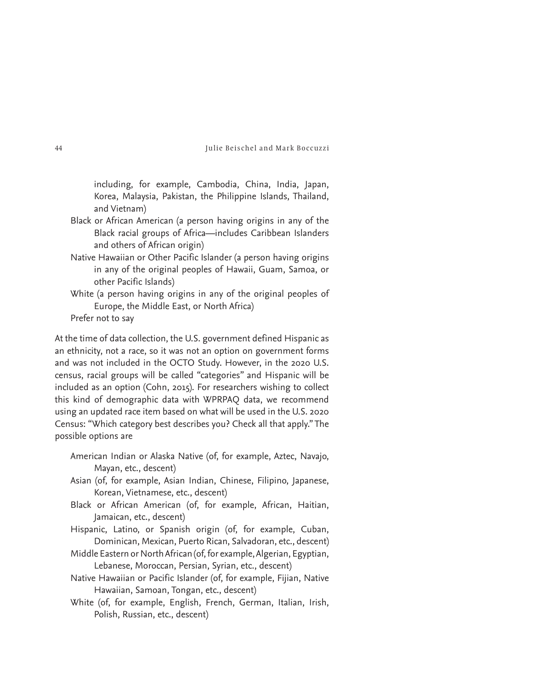including, for example, Cambodia, China, India, Japan, Korea, Malaysia, Pakistan, the Philippine Islands, Thailand, and Vietnam)

- Black or African American (a person having origins in any of the Black racial groups of Africa—includes Caribbean Islanders and others of African origin)
- Native Hawaiian or Other Pacific Islander (a person having origins in any of the original peoples of Hawaii, Guam, Samoa, or other Pacific Islands)
- White (a person having origins in any of the original peoples of Europe, the Middle East, or North Africa)
- Prefer not to say

At the time of data collection, the U.S. government defined Hispanic as an ethnicity, not a race, so it was not an option on government forms and was not included in the OCTO Study. However, in the 2020 U.S. census, racial groups will be called "categories" and Hispanic will be included as an option (Cohn, 2015). For researchers wishing to collect this kind of demographic data with WPRPAQ data, we recommend using an updated race item based on what will be used in the U.S. 2020 Census: "Which category best describes you? Check all that apply." The possible options are

- American Indian or Alaska Native (of, for example, Aztec, Navajo, Mayan, etc., descent)
- Asian (of, for example, Asian Indian, Chinese, Filipino, Japanese, Korean, Vietnamese, etc., descent)
- Black or African American (of, for example, African, Haitian, Jamaican, etc., descent)
- Hispanic, Latino, or Spanish origin (of, for example, Cuban, Dominican, Mexican, Puerto Rican, Salvadoran, etc., descent)
- Middle Eastern or North African (of, for example, Algerian, Egyptian, Lebanese, Moroccan, Persian, Syrian, etc., descent)
- Native Hawaiian or Pacific Islander (of, for example, Fijian, Native Hawaiian, Samoan, Tongan, etc., descent)
- White (of, for example, English, French, German, Italian, Irish, Polish, Russian, etc., descent)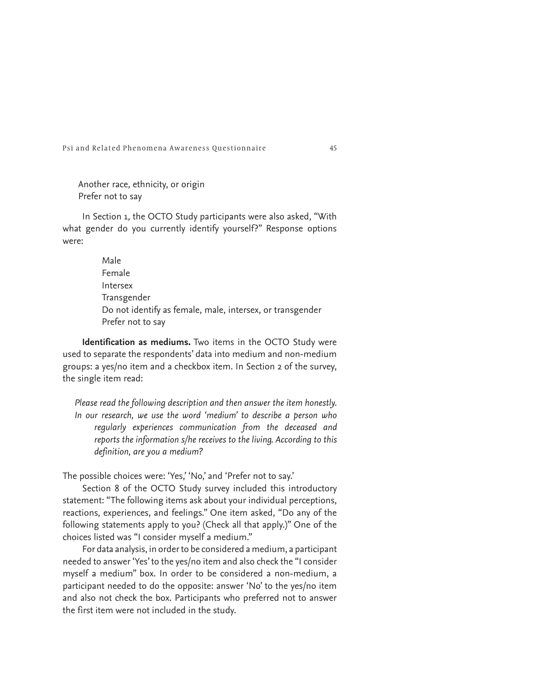Another race, ethnicity, or origin Prefer not to say

In Section 1, the OCTO Study participants were also asked, "With what gender do you currently identify yourself?" Response options were:

> Male Female Intersex Transgender Do not identify as female, male, intersex, or transgender Prefer not to say

**Identification as mediums.** Two items in the OCTO Study were used to separate the respondents' data into medium and non-medium groups: a yes/no item and a checkbox item. In Section 2 of the survey, the single item read:

*Please read the following description and then answer the item honestly. In our research, we use the word 'medium' to describe a person who regularly experiences communication from the deceased and reports the information s/he receives to the living. According to this definition, are you a medium?*

The possible choices were: 'Yes,' 'No,' and 'Prefer not to say.'

Section 8 of the OCTO Study survey included this introductory statement: "The following items ask about your individual perceptions, reactions, experiences, and feelings." One item asked, "Do any of the following statements apply to you? (Check all that apply.)" One of the choices listed was "I consider myself a medium."

For data analysis, in order to be considered a medium, a participant needed to answer 'Yes' to the yes/no item and also check the "I consider myself a medium" box. In order to be considered a non-medium, a participant needed to do the opposite: answer 'No' to the yes/no item and also not check the box. Participants who preferred not to answer the first item were not included in the study.

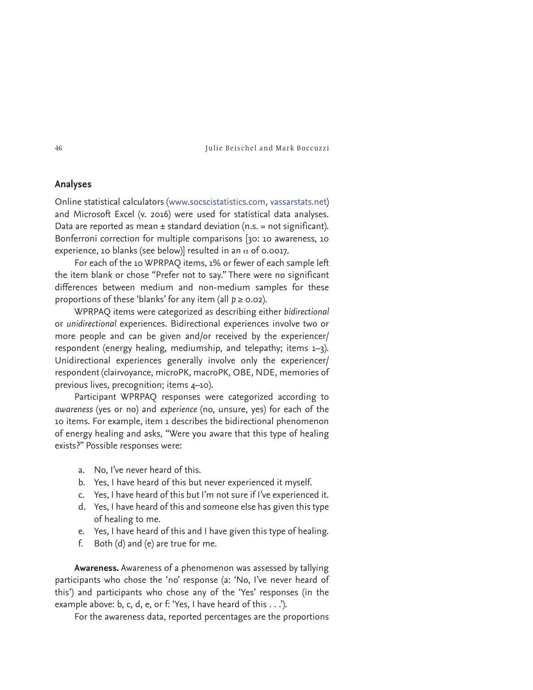## **Analyses**

Online statistical calculators (www.socscistatistics.com, vassarstats.net) and Microsoft Excel (v. 2016) were used for statistical data analyses. Data are reported as mean  $\pm$  standard deviation (n.s. = not significant). Bonferroni correction for multiple comparisons [30: 10 awareness, 10 experience, 10 blanks (see below)] resulted in an  $\alpha$  of 0.0017.

For each of the 10 WPRPAQ items, 1% or fewer of each sample left the item blank or chose "Prefer not to say." There were no significant differences between medium and non-medium samples for these proportions of these 'blanks' for any item (all  $p \ge 0.02$ ).

WPRPAQ items were categorized as describing either *bidirectional* or *unidirectional* experiences. Bidirectional experiences involve two or more people and can be given and/or received by the experiencer/ respondent (energy healing, mediumship, and telepathy; items 1–3). Unidirectional experiences generally involve only the experiencer/ respondent (clairvoyance, microPK, macroPK, OBE, NDE, memories of previous lives, precognition; items 4–10).

Participant WPRPAQ responses were categorized according to *awareness* (yes or no) and *experience* (no, unsure, yes) for each of the 10 items. For example, item 1 describes the bidirectional phenomenon of energy healing and asks, "Were you aware that this type of healing exists?" Possible responses were:

- a. No, I've never heard of this.
- b. Yes, I have heard of this but never experienced it myself.
- c. Yes, I have heard of this but I'm not sure if I've experienced it.
- d. Yes, I have heard of this and someone else has given this type of healing to me.
- e. Yes, I have heard of this and I have given this type of healing.
- f. Both (d) and (e) are true for me.

**Awareness.** Awareness of a phenomenon was assessed by tallying participants who chose the 'no' response (a: 'No, I've never heard of this') and participants who chose any of the 'Yes' responses (in the example above: b, c, d, e, or f: 'Yes, I have heard of this . . .').

For the awareness data, reported percentages are the proportions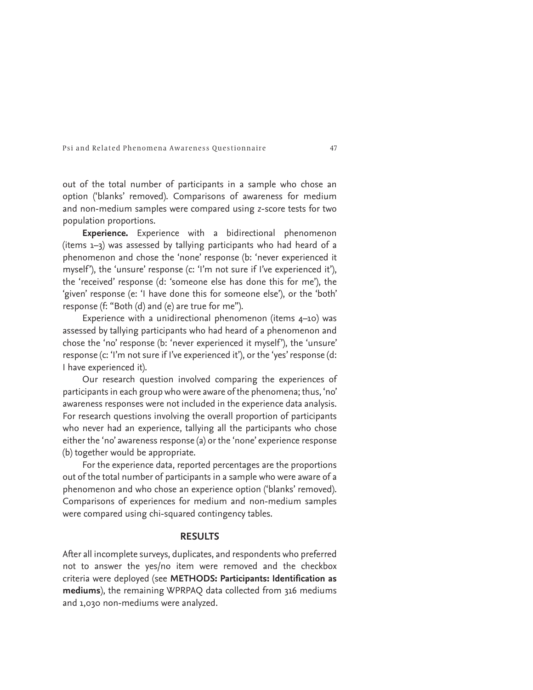out of the total number of participants in a sample who chose an option ('blanks' removed). Comparisons of awareness for medium and non-medium samples were compared using *z*-score tests for two population proportions.

**Experience.** Experience with a bidirectional phenomenon (items 1–3) was assessed by tallying participants who had heard of a phenomenon and chose the 'none' response (b: 'never experienced it myself'), the 'unsure' response (c: 'I'm not sure if I've experienced it'), the 'received' response (d: 'someone else has done this for me'), the 'given' response (e: 'I have done this for someone else'), or the 'both' response (f: "Both (d) and (e) are true for me").

Experience with a unidirectional phenomenon (items 4-10) was assessed by tallying participants who had heard of a phenomenon and chose the 'no' response (b: 'never experienced it myself'), the 'unsure' response (c: 'I'm not sure if I've experienced it'), or the 'yes' response (d: I have experienced it).

Our research question involved comparing the experiences of participants in each group who were aware of the phenomena; thus, 'no' awareness responses were not included in the experience data analysis. For research questions involving the overall proportion of participants who never had an experience, tallying all the participants who chose either the 'no' awareness response (a) or the 'none' experience response (b) together would be appropriate.

For the experience data, reported percentages are the proportions out of the total number of participants in a sample who were aware of a phenomenon and who chose an experience option ('blanks' removed). Comparisons of experiences for medium and non-medium samples were compared using chi-squared contingency tables.

## **RESULTS**

After all incomplete surveys, duplicates, and respondents who preferred not to answer the yes/no item were removed and the checkbox criteria were deployed (see **METHODS: Participants: Identification as mediums**), the remaining WPRPAQ data collected from 316 mediums and 1,030 non-mediums were analyzed.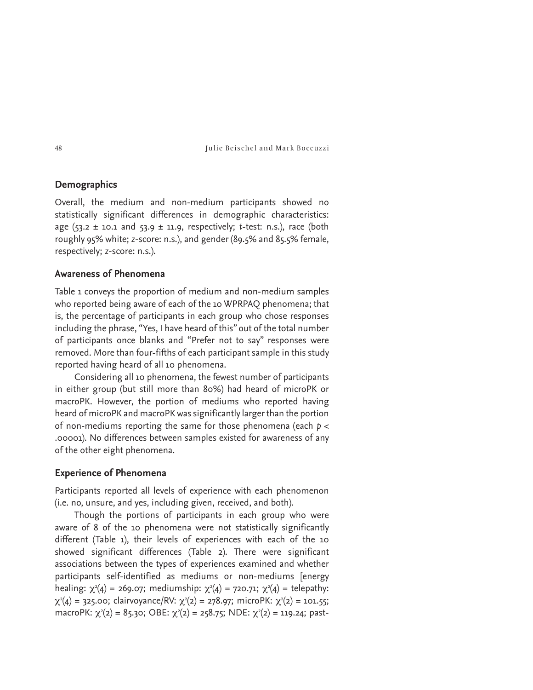## **Demographics**

Overall, the medium and non-medium participants showed no statistically significant differences in demographic characteristics: age  $(53.2 \pm 10.1$  and  $53.9 \pm 11.9$ , respectively; *t*-test: n.s.), race (both roughly 95% white; *z*-score: n.s.), and gender (89.5% and 85.5% female, respectively; *z*-score: n.s.).

## **Awareness of Phenomena**

Table 1 conveys the proportion of medium and non-medium samples who reported being aware of each of the 10 WPRPAQ phenomena; that is, the percentage of participants in each group who chose responses including the phrase, "Yes, I have heard of this" out of the total number of participants once blanks and "Prefer not to say" responses were removed. More than four-fifths of each participant sample in this study reported having heard of all 10 phenomena.

Considering all 10 phenomena, the fewest number of participants in either group (but still more than 80%) had heard of microPK or macroPK. However, the portion of mediums who reported having heard of microPK and macroPK was significantly larger than the portion of non-mediums reporting the same for those phenomena (each *p* < .00001). No differences between samples existed for awareness of any of the other eight phenomena.

## **Experience of Phenomena**

Participants reported all levels of experience with each phenomenon (i.e. no, unsure, and yes, including given, received, and both).

Though the portions of participants in each group who were aware of 8 of the 10 phenomena were not statistically significantly different (Table 1), their levels of experiences with each of the 10 showed significant differences (Table 2). There were significant associations between the types of experiences examined and whether participants self-identified as mediums or non-mediums [energy healing:  $\chi^2(4)$  = 269.07; mediumship:  $\chi^2(4)$  = 720.71;  $\chi^2(4)$  = telepathy:  $\chi^2(4) = 325.00$ ; clairvoyance/RV:  $\chi^2(2) = 278.97$ ; microPK:  $\chi^2(2) = 101.55$ ; macroPK:  $\chi^2(2) = 85.3$ o; OBE:  $\chi^2(2) = 258.75$ ; NDE:  $\chi^2(2) = 119.24$ ; past-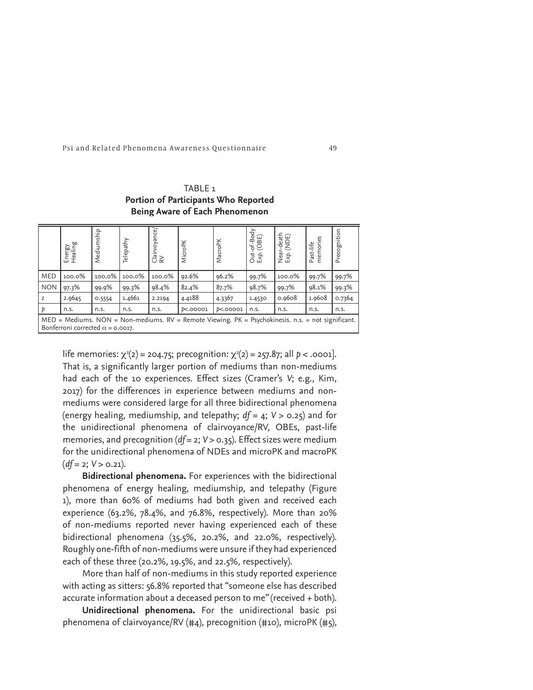TABLE 1 **Portion of Participants Who Reported Being Aware of Each Phenomenon**

|                                                                                                                                                  | Energy<br>Healing | Mediumship | Telepathy | voyance/<br>Clair<br>R∀ | <b>MicroPK</b>     | MacroPK          | Out-of-Body<br>Exp. (OBE) | Near-death<br>Exp. (NDE) | memories<br>Past-life | Precognition |
|--------------------------------------------------------------------------------------------------------------------------------------------------|-------------------|------------|-----------|-------------------------|--------------------|------------------|---------------------------|--------------------------|-----------------------|--------------|
| <b>MED</b>                                                                                                                                       | 100.0%            | 100.0%     | 100.0%    | 100.0%                  | 92.6%              | 96.2%            | 99.7%                     | 100.0%                   | 99.7%                 | 99.7%        |
| <b>NON</b>                                                                                                                                       | 97.3%             | 99.9%      | 99.3%     | 98.4%                   | 82.4%              | 87.7%            | 98.7%                     | 99.7%                    | 98.1%                 | 99.3%        |
|                                                                                                                                                  | 2.9645            | 0.5554     | 1.4661    | 2.2194                  | 4.4188             | 4.3367           | 1.4530                    | 0.9608                   | 1.9608                | 0.7364       |
|                                                                                                                                                  | n.s.              | n.s.       | n.s.      | n.s.                    | <b>D&lt;.00001</b> | <b>b</b> <.00001 | n.s.                      | n.s.                     | n.s.                  | n.s.         |
| $MED = Mediums$ . NON = Non-mediums. RV = Remote Viewing. PK = Psychokinesis. n.s. = not significant.<br>Bonferroni corrected $\alpha$ = 0.0017. |                   |            |           |                         |                    |                  |                           |                          |                       |              |

life memories:  $\chi^2(2) = 204.75$ ; precognition:  $\chi^2(2) = 257.87$ ; all  $p < .0001$ ]. That is, a significantly larger portion of mediums than non-mediums had each of the 10 experiences. Effect sizes (Cramer's *V*; e.g., Kim, 2017) for the differences in experience between mediums and nonmediums were considered large for all three bidirectional phenomena (energy healing, mediumship, and telepathy; *df* = 4; *V* > 0.25) and for the unidirectional phenomena of clairvoyance/RV, OBEs, past-life memories, and precognition (*df* = 2;  $V > 0.35$ ). Effect sizes were medium for the unidirectional phenomena of NDEs and microPK and macroPK (*df* = 2; *V* > 0.21).

**Bidirectional phenomena.** For experiences with the bidirectional phenomena of energy healing, mediumship, and telepathy (Figure 1), more than 60% of mediums had both given and received each experience (63.2%, 78.4%, and 76.8%, respectively). More than 20% of non-mediums reported never having experienced each of these bidirectional phenomena (35.5%, 20.2%, and 22.0%, respectively). Roughly one-fifth of non-mediums were unsure if they had experienced each of these three (20.2%, 19.5%, and 22.5%, respectively).

More than half of non-mediums in this study reported experience with acting as sitters: 56.8% reported that "someone else has described accurate information about a deceased person to me" (received + both).

**Unidirectional phenomena.** For the unidirectional basic psi phenomena of clairvoyance/RV (#4), precognition (#10), microPK (#5),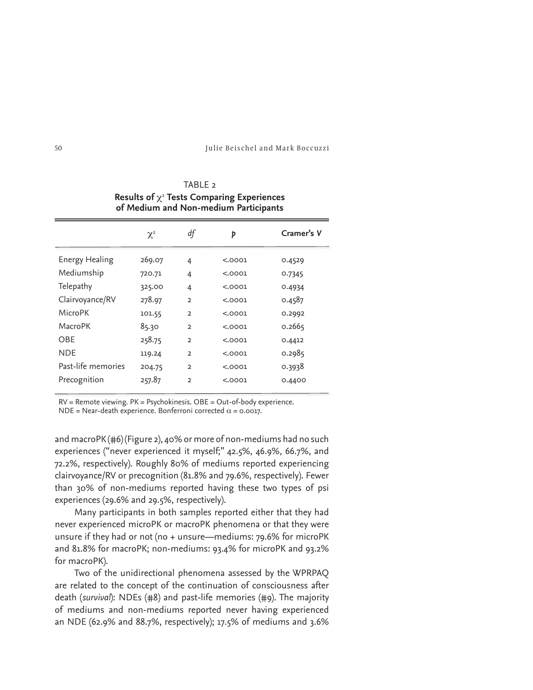| $\kappa$ conto the $\kappa$ rests comparing experiences<br>of Medium and Non-medium Participants |          |                |         |            |  |  |  |  |  |
|--------------------------------------------------------------------------------------------------|----------|----------------|---------|------------|--|--|--|--|--|
|                                                                                                  | $\chi^2$ | df             | Þ       | Cramer's V |  |  |  |  |  |
| Energy Healing                                                                                   | 269.07   | 4              | < .0001 | 0.4529     |  |  |  |  |  |
| Mediumship                                                                                       | 720.71   | 4              | < .0001 | 0.7345     |  |  |  |  |  |
| Telepathy                                                                                        | 325.00   | 4              | < .0001 | 0.4934     |  |  |  |  |  |
| Clairvoyance/RV                                                                                  | 278.97   | $\overline{2}$ | < .0001 | 0.4587     |  |  |  |  |  |
| <b>MicroPK</b>                                                                                   | 101.55   | $\overline{2}$ | < .0001 | 0.2992     |  |  |  |  |  |
| MacroPK                                                                                          | 85.30    | $\overline{2}$ | < .0001 | 0.2665     |  |  |  |  |  |
| OBE                                                                                              | 258.75   | $\overline{2}$ | < .0001 | 0.4412     |  |  |  |  |  |
| <b>NDE</b>                                                                                       | 119.24   | $\overline{2}$ | < .0001 | 0.2985     |  |  |  |  |  |
| Past-life memories                                                                               | 204.75   | $\overline{2}$ | < .0001 | 0.3938     |  |  |  |  |  |
| Precognition                                                                                     | 257.87   | $\overline{2}$ | < .0001 | 0.4400     |  |  |  |  |  |

TABLE<sub>2</sub> **Results of** r<sup>2</sup> **Tests Comparing Experiences** 

RV = Remote viewing. PK = Psychokinesis. OBE = Out-of-body experience. NDE = Near-death experience. Bonferroni corrected  $\alpha$  = 0.0017.

and macroPK (#6) (Figure 2), 40% or more of non-mediums had no such experiences ("never experienced it myself;" 42.5%, 46.9%, 66.7%, and 72.2%, respectively). Roughly 80% of mediums reported experiencing clairvoyance/RV or precognition (81.8% and 79.6%, respectively). Fewer than 30% of non-mediums reported having these two types of psi experiences (29.6% and 29.5%, respectively).

Many participants in both samples reported either that they had never experienced microPK or macroPK phenomena or that they were unsure if they had or not (no + unsure—mediums: 79.6% for microPK and 81.8% for macroPK; non-mediums: 93.4% for microPK and 93.2% for macroPK).

Two of the unidirectional phenomena assessed by the WPRPAQ are related to the concept of the continuation of consciousness after death (*survival*): NDEs (#8) and past-life memories (#9). The majority of mediums and non-mediums reported never having experienced an NDE (62.9% and 88.7%, respectively); 17.5% of mediums and 3.6%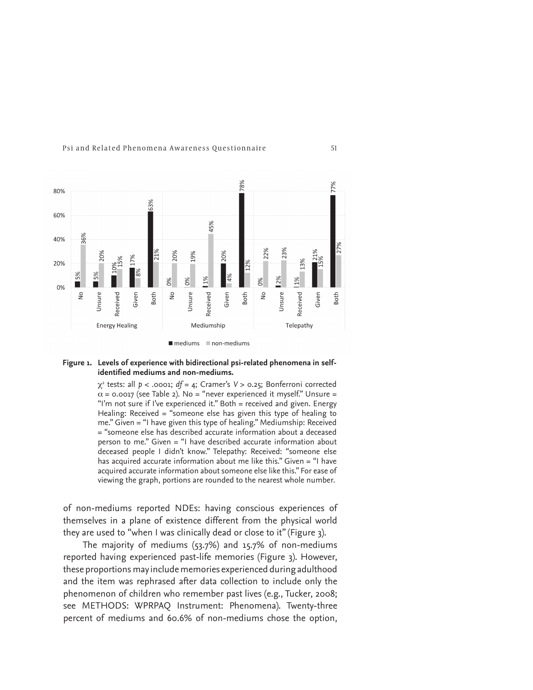

#### **Figure 1. Levels of experience with bidirectional psi-related phenomena in selfidentified mediums and non-mediums.**

r2 tests: all *p* < .0001; *df* = 4; Cramer's *V* > 0.25; Bonferroni corrected  $\alpha$  = 0.0017 (see Table 2). No = "never experienced it myself." Unsure = "I'm not sure if I've experienced it." Both = received and given. Energy Healing: Received = "someone else has given this type of healing to me." Given = "I have given this type of healing." Mediumship: Received = "someone else has described accurate information about a deceased person to me." Given = "I have described accurate information about deceased people I didn't know." Telepathy: Received: "someone else has acquired accurate information about me like this." Given = "I have acquired accurate information about someone else like this." For ease of viewing the graph, portions are rounded to the nearest whole number.

of non-mediums reported NDEs: having conscious experiences of themselves in a plane of existence different from the physical world they are used to "when I was clinically dead or close to it" (Figure 3).

The majority of mediums (53.7%) and 15.7% of non-mediums reported having experienced past-life memories (Figure 3). However, these proportions may include memories experienced during adulthood and the item was rephrased after data collection to include only the phenomenon of children who remember past lives (e.g., Tucker, 2008; see METHODS: WPRPAQ Instrument: Phenomena). Twenty-three percent of mediums and 60.6% of non-mediums chose the option,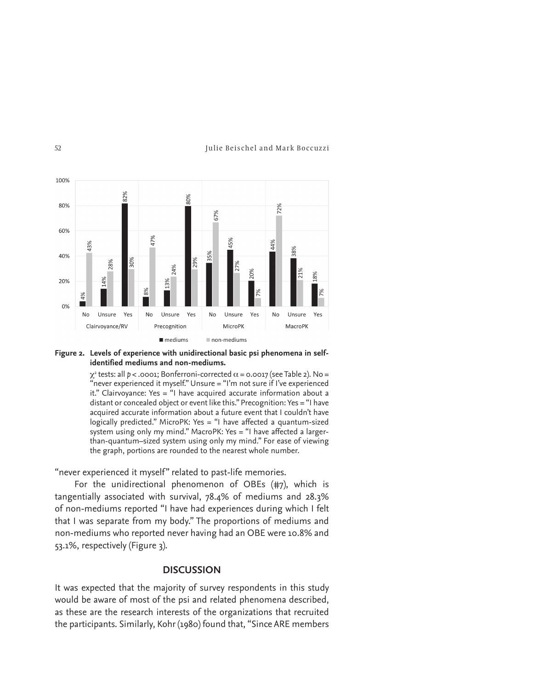

#### **Figure 2. Levels of experience with unidirectional basic psi phenomena in selfidentified mediums and non-mediums.**

 $\chi^{\text{2}}$  tests: all  $p$  < .0001; Bonferroni-corrected  $\alpha$  = 0.0017 (see Table 2). No = "never experienced it myself." Unsure = "I'm not sure if I've experienced it." Clairvoyance: Yes = "I have acquired accurate information about a distant or concealed object or event like this." Precognition: Yes = "I have acquired accurate information about a future event that I couldn't have logically predicted." MicroPK: Yes = "I have affected a quantum-sized system using only my mind." MacroPK: Yes = "I have affected a largerthan-quantum–sized system using only my mind." For ease of viewing the graph, portions are rounded to the nearest whole number.

"never experienced it myself" related to past-life memories.

For the unidirectional phenomenon of OBEs (#7), which is tangentially associated with survival, 78.4% of mediums and 28.3% of non-mediums reported "I have had experiences during which I felt that I was separate from my body." The proportions of mediums and non-mediums who reported never having had an OBE were 10.8% and 53.1%, respectively (Figure 3).

## **DISCUSSION**

It was expected that the majority of survey respondents in this study would be aware of most of the psi and related phenomena described, as these are the research interests of the organizations that recruited the participants. Similarly, Kohr (1980) found that, "Since ARE members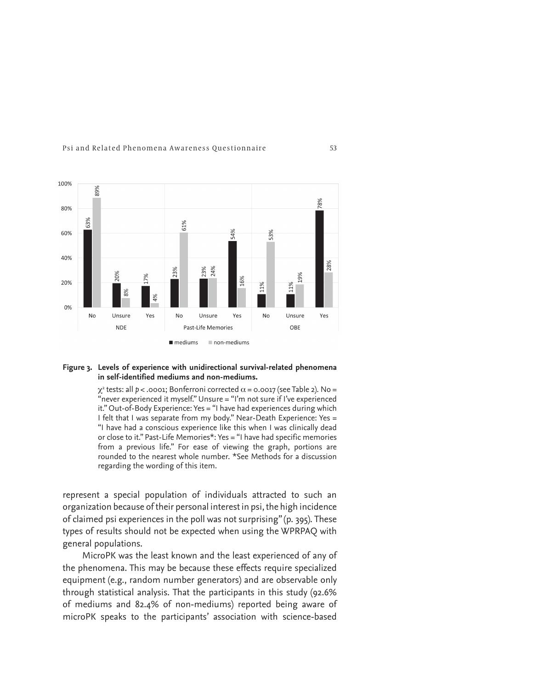



#### **Figure 3. Levels of experience with unidirectional survival-related phenomena in self-identified mediums and non-mediums.**

 $\chi^{\text{2}}$  tests: all  $p$  < .0001; Bonferroni corrected  $\alpha$  = 0.0017 (see Table 2). No = "never experienced it myself." Unsure = "I'm not sure if I've experienced it." Out-of-Body Experience: Yes = "I have had experiences during which I felt that I was separate from my body." Near-Death Experience: Yes = "I have had a conscious experience like this when I was clinically dead or close to it." Past-Life Memories\*: Yes = "I have had specific memories from a previous life." For ease of viewing the graph, portions are rounded to the nearest whole number. \*See Methods for a discussion regarding the wording of this item.

represent a special population of individuals attracted to such an organization because of their personal interest in psi, the high incidence of claimed psi experiences in the poll was not surprising" (p. 395). These types of results should not be expected when using the WPRPAQ with general populations.

MicroPK was the least known and the least experienced of any of the phenomena. This may be because these effects require specialized equipment (e.g., random number generators) and are observable only through statistical analysis. That the participants in this study (92.6% of mediums and 82.4% of non-mediums) reported being aware of microPK speaks to the participants' association with science-based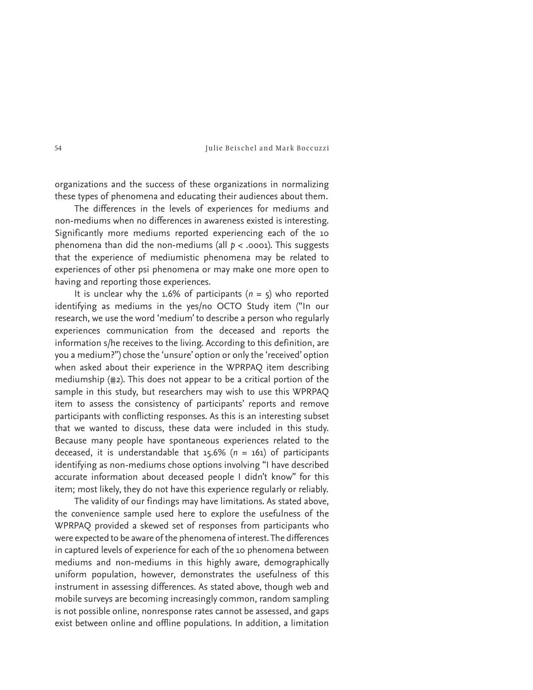organizations and the success of these organizations in normalizing these types of phenomena and educating their audiences about them.

The differences in the levels of experiences for mediums and non-mediums when no differences in awareness existed is interesting. Significantly more mediums reported experiencing each of the 10 phenomena than did the non-mediums (all *p* < .0001). This suggests that the experience of mediumistic phenomena may be related to experiences of other psi phenomena or may make one more open to having and reporting those experiences.

It is unclear why the 1.6% of participants (*n* = 5) who reported identifying as mediums in the yes/no OCTO Study item ("In our research, we use the word 'medium' to describe a person who regularly experiences communication from the deceased and reports the information s/he receives to the living. According to this definition, are you a medium?") chose the 'unsure' option or only the 'received' option when asked about their experience in the WPRPAQ item describing mediumship (#2). This does not appear to be a critical portion of the sample in this study, but researchers may wish to use this WPRPAQ item to assess the consistency of participants' reports and remove participants with conflicting responses. As this is an interesting subset that we wanted to discuss, these data were included in this study. Because many people have spontaneous experiences related to the deceased, it is understandable that 15.6% (*n* = 161) of participants identifying as non-mediums chose options involving "I have described accurate information about deceased people I didn't know" for this item; most likely, they do not have this experience regularly or reliably.

The validity of our findings may have limitations. As stated above, the convenience sample used here to explore the usefulness of the WPRPAQ provided a skewed set of responses from participants who were expected to be aware of the phenomena of interest. The differences in captured levels of experience for each of the 10 phenomena between mediums and non-mediums in this highly aware, demographically uniform population, however, demonstrates the usefulness of this instrument in assessing differences. As stated above, though web and mobile surveys are becoming increasingly common, random sampling is not possible online, nonresponse rates cannot be assessed, and gaps exist between online and offline populations. In addition, a limitation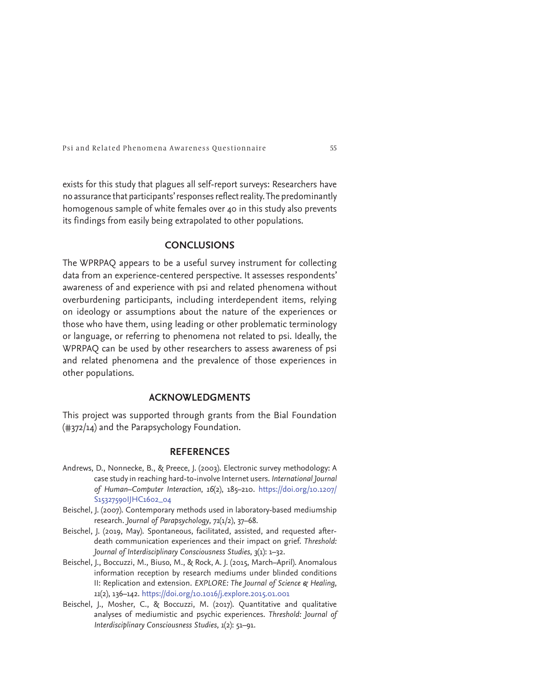exists for this study that plagues all self-report surveys: Researchers have no assurance that participants' responses reflect reality. The predominantly homogenous sample of white females over 40 in this study also prevents its findings from easily being extrapolated to other populations.

## **CONCLUSIONS**

The WPRPAQ appears to be a useful survey instrument for collecting data from an experience-centered perspective. It assesses respondents' awareness of and experience with psi and related phenomena without overburdening participants, including interdependent items, relying on ideology or assumptions about the nature of the experiences or those who have them, using leading or other problematic terminology or language, or referring to phenomena not related to psi. Ideally, the WPRPAQ can be used by other researchers to assess awareness of psi and related phenomena and the prevalence of those experiences in other populations.

## **ACKNOWLEDGMENTS**

This project was supported through grants from the Bial Foundation (#372/14) and the Parapsychology Foundation.

## **REFERENCES**

- Andrews, D., Nonnecke, B., & Preece, J. (2003). Electronic survey methodology: A case study in reaching hard-to-involve Internet users. *International Journal of Human–Computer Interaction*, *16*(2), 185–210 . https://doi.org/10.1207/ S15327590IJHC1602\_04
- Beischel, J. (2007). Contemporary methods used in laboratory-based mediumship research. *Journal of Parapsychology*, *71*(1/2), 37–68.
- Beischel, J. (2019, May). Spontaneous, facilitated, assisted, and requested afterdeath communication experiences and their impact on grief. *Threshold: Journal of Interdisciplinary Consciousness Studies*, *3*(1): 1–32.
- Beischel, J., Boccuzzi, M., Biuso, M., & Rock, A. J. (2015, March–April). Anomalous information reception by research mediums under blinded conditions II: Replication and extension. *EXPLORE: The Journal of Science & Healing*, *11*(2), 136–142. https://doi.org/10.1016/j.explore.2015.01.001
- Beischel, J., Mosher, C., & Boccuzzi, M. (2017). Quantitative and qualitative analyses of mediumistic and psychic experiences. *Threshold: Journal of Interdisciplinary Consciousness Studies*, *1*(2): 51–91.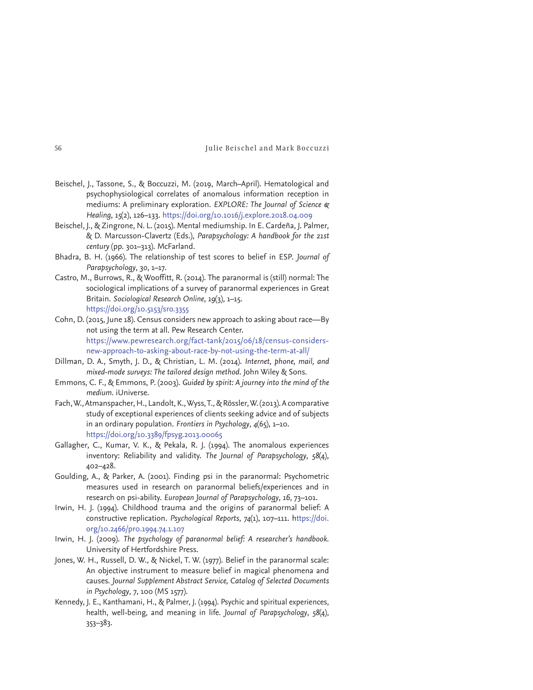- Beischel, J., Tassone, S., & Boccuzzi, M. (2019, March–April). Hematological and psychophysiological correlates of anomalous information reception in mediums: A preliminary exploration. *EXPLORE: The Journal of Science & Healing*, *15*(2), 126–133. https://doi.org/10.1016/j.explore.2018.04.009
- Beischel, J., & Zingrone, N. L. (2015). Mental mediumship. In E. Cardeña, J. Palmer, & D. Marcusson-Clavertz (Eds.), *Parapsychology: A handbook for the 21st century* (pp. 301–313). McFarland.
- Bhadra, B. H. (1966). The relationship of test scores to belief in ESP. *Journal of Parapsychology*, *30*, 1–17.
- Castro, M., Burrows, R., & Wooffitt, R. (2014). The paranormal is (still) normal: The sociological implications of a survey of paranormal experiences in Great Britain. *Sociological Research Online*, *19*(3), 1–15. https://doi.org/10.5153/sro.3355
- Cohn, D. (2015, June 18). Census considers new approach to asking about race—By not using the term at all. Pew Research Center. https://www.pewresearch.org/fact-tank/2015/06/18/census-considersnew-approach-to-asking-about-race-by-not-using-the-term-at-all/
- Dillman, D. A., Smyth, J. D., & Christian, L. M. (2014). *Internet, phone, mail, and mixed-mode surveys: The tailored design method*. John Wiley & Sons.
- Emmons, C. F., & Emmons, P. (2003). *Guided by spirit: A journey into the mind of the medium*. iUniverse.
- Fach, W., Atmanspacher, H., Landolt, K., Wyss, T., & Rössler, W. (2013). A comparative study of exceptional experiences of clients seeking advice and of subjects in an ordinary population. *Frontiers in Psychology*, *4*(65), 1–10. https://doi.org/10.3389/fpsyg.2013.00065
- Gallagher, C., Kumar, V. K., & Pekala, R. J. (1994). The anomalous experiences inventory: Reliability and validity. *The Journal of Parapsychology*, *58*(4), 402–428.
- Goulding, A., & Parker, A. (2001). Finding psi in the paranormal: Psychometric measures used in research on paranormal beliefs/experiences and in research on psi-ability. *European Journal of Parapsychology*, *16*, 73–101.
- Irwin, H. J. (1994). Childhood trauma and the origins of paranormal belief: A constructive replication. *Psychological Reports*, *74*(1), 107–111. https://doi. org/10.2466/pr0.1994.74.1.107
- Irwin, H. J. (2009). *The psychology of paranormal belief: A researcher's handbook*. University of Hertfordshire Press.
- Jones, W. H., Russell, D. W., & Nickel, T. W. (1977). Belief in the paranormal scale: An objective instrument to measure belief in magical phenomena and causes. *Journal Supplement Abstract Service, Catalog of Selected Documents in Psychology*, *7*, 100 (MS 1577) .
- Kennedy, J. E., Kanthamani, H., & Palmer, J. (1994). Psychic and spiritual experiences, health, well-being, and meaning in life. *Journal of Parapsychology*, *58*(4), 353–383.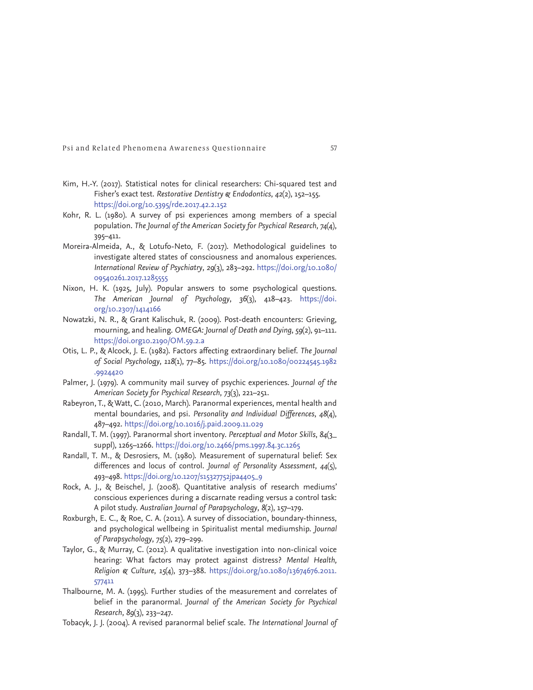- Kim, H.-Y. (2017). Statistical notes for clinical researchers: Chi-squared test and Fisher's exact test. *Restorative Dentistry & Endodontics*, *42*(2), 152–155. https://doi.org/10.5395/rde.2017.42.2.152
- Kohr, R. L. (1980). A survey of psi experiences among members of a special population. *The Journal of the American Society for Psychical Research*, *74*(4), 395–411.
- Moreira-Almeida, A., & Lotufo-Neto, F. (2017). Methodological guidelines to investigate altered states of consciousness and anomalous experiences. *International Review of Psychiatry*, *29*(3), 283–292. https://doi.org/10.1080/ 09540261.2017.1285555
- Nixon, H. K. (1925, July). Popular answers to some psychological questions. *The American Journal of Psychology*, *36*(3), 418–423. https://doi. org/10.2307/1414166
- Nowatzki, N. R., & Grant Kalischuk, R. (2009). Post-death encounters: Grieving, mourning, and healing. *OMEGA: Journal of Death and Dying*, *59*(2), 91–111. https://doi.org10.2190/OM.59.2.a
- Otis, L. P., & Alcock, J. E. (1982). Factors affecting extraordinary belief. *The Journal of Social Psychology*, *118*(1), 77–85. https://doi.org/10.1080/00224545.1982 .9924420
- Palmer, J. (1979). A community mail survey of psychic experiences. *Journal of the American Society for Psychical Research*, *73*(3), 221–251.
- Rabeyron, T., & Watt, C. (2010, March). Paranormal experiences, mental health and mental boundaries, and psi. *Personality and Individual Differences*, *48*(4), 487–492. https://doi.org/10.1016/j.paid.2009.11.029
- Randall, T. M. (1997). Paranormal short inventory. *Perceptual and Motor Skills*, *84*(3\_ suppl), 1265–1266. https://doi.org/10.2466/pms.1997.84.3c.1265
- Randall, T. M., & Desrosiers, M. (1980). Measurement of supernatural belief: Sex differences and locus of control. *Journal of Personality Assessment*, *44*(5), 493–498. https://doi.org/10.1207/s15327752jpa4405\_9
- Rock, A. J., & Beischel, J. (2008). Quantitative analysis of research mediums' conscious experiences during a discarnate reading versus a control task: A pilot study. *Australian Journal of Parapsychology*, *8*(2), 157–179.
- Roxburgh, E. C., & Roe, C. A. (2011). A survey of dissociation, boundary-thinness, and psychological wellbeing in Spiritualist mental mediumship. *Journal of Parapsychology*, *75*(2), 279–299.
- Taylor, G., & Murray, C. (2012). A qualitative investigation into non-clinical voice hearing: What factors may protect against distress? *Mental Health, Religion & Culture*, *15*(4), 373–388. https://doi.org/10.1080/13674676.2011. 577411
- Thalbourne, M. A. (1995). Further studies of the measurement and correlates of belief in the paranormal. *Journal of the American Society for Psychical Research*, *89*(3), 233–247.
- Tobacyk, J. J. (2004). A revised paranormal belief scale. *The International Journal of*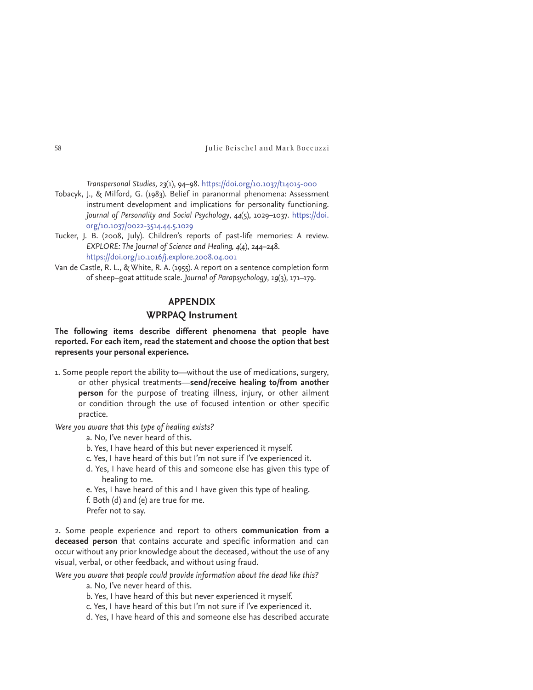*Transpersonal Studies*, *23*(1), 94–98. https://doi.org/10.1037/t14015-000

- Tobacyk, J., & Milford, G. (1983). Belief in paranormal phenomena: Assessment instrument development and implications for personality functioning. *Journal of Personality and Social Psychology*, *44*(5), 1029–1037 . https://doi. org/10.1037/0022-3514.44.5.1029
- Tucker, J. B. (2008, July). Children's reports of past-life memories: A review. *EXPLORE: The Journal of Science and Healing, 4*(4), 244–248. https://doi.org/10.1016/j.explore.2008.04.001
- Van de Castle, R. L., & White, R. A. (1955). A report on a sentence completion form of sheep–goat attitude scale. *Journal of Parapsychology*, *19*(3), 171–179.

# **APPENDIX**

## **WPRPAQ Instrument**

**The following items describe different phenomena that people have reported. For each item, read the statement and choose the option that best represents your personal experience.**

1. Some people report the ability to—without the use of medications, surgery, or other physical treatments—**send/receive healing to/from another person** for the purpose of treating illness, injury, or other ailment or condition through the use of focused intention or other specific practice.

*Were you aware that this type of healing exists?*

a. No, I've never heard of this.

- b. Yes, I have heard of this but never experienced it myself.
- c. Yes, I have heard of this but I'm not sure if I've experienced it.
- d. Yes, I have heard of this and someone else has given this type of healing to me.
- e. Yes, I have heard of this and I have given this type of healing.
- f. Both (d) and (e) are true for me.
- Prefer not to say.

2. Some people experience and report to others **communication from a deceased person** that contains accurate and specific information and can occur without any prior knowledge about the deceased, without the use of any visual, verbal, or other feedback, and without using fraud.

*Were you aware that people could provide information about the dead like this?*

a. No, I've never heard of this.

- b. Yes, I have heard of this but never experienced it myself.
- c. Yes, I have heard of this but I'm not sure if I've experienced it.
- d. Yes, I have heard of this and someone else has described accurate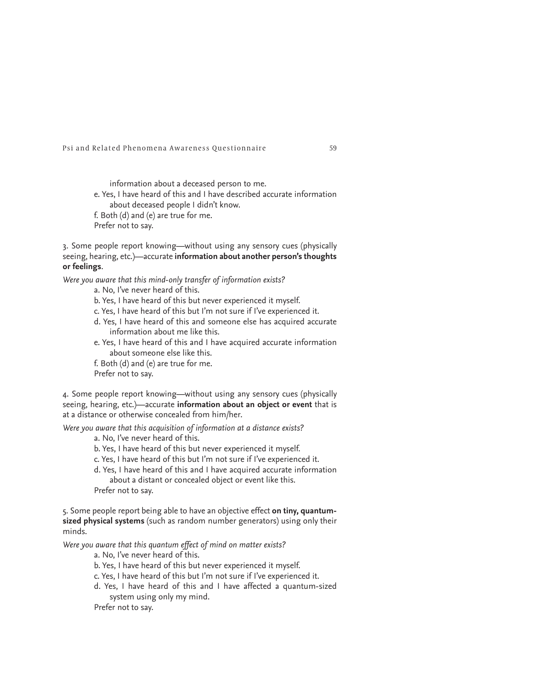information about a deceased person to me. e. Yes, I have heard of this and I have described accurate information about deceased people I didn't know. f. Both (d) and (e) are true for me. Prefer not to say.

3. Some people report knowing—without using any sensory cues (physically seeing, hearing, etc.)—accurate **information about another person's thoughts or feelings**.

*Were you aware that this mind-only transfer of information exists?*

a. No, I've never heard of this.

- b. Yes, I have heard of this but never experienced it myself.
- c. Yes, I have heard of this but I'm not sure if I've experienced it.
- d. Yes, I have heard of this and someone else has acquired accurate information about me like this.
- e. Yes, I have heard of this and I have acquired accurate information about someone else like this.
- f. Both (d) and (e) are true for me. Prefer not to say.

4. Some people report knowing—without using any sensory cues (physically seeing, hearing, etc.)—accurate **information about an object or event** that is at a distance or otherwise concealed from him/her.

*Were you aware that this acquisition of information at a distance exists?*

a. No, I've never heard of this.

- b. Yes, I have heard of this but never experienced it myself.
- c. Yes, I have heard of this but I'm not sure if I've experienced it.
- d. Yes, I have heard of this and I have acquired accurate information about a distant or concealed object or event like this.

Prefer not to say.

5. Some people report being able to have an objective effect **on tiny, quantumsized physical systems** (such as random number generators) using only their minds.

*Were you aware that this quantum effect of mind on matter exists?*

a. No, I've never heard of this.

- b. Yes, I have heard of this but never experienced it myself.
- c. Yes, I have heard of this but I'm not sure if I've experienced it.
- d. Yes, I have heard of this and I have affected a quantum-sized system using only my mind.

Prefer not to say.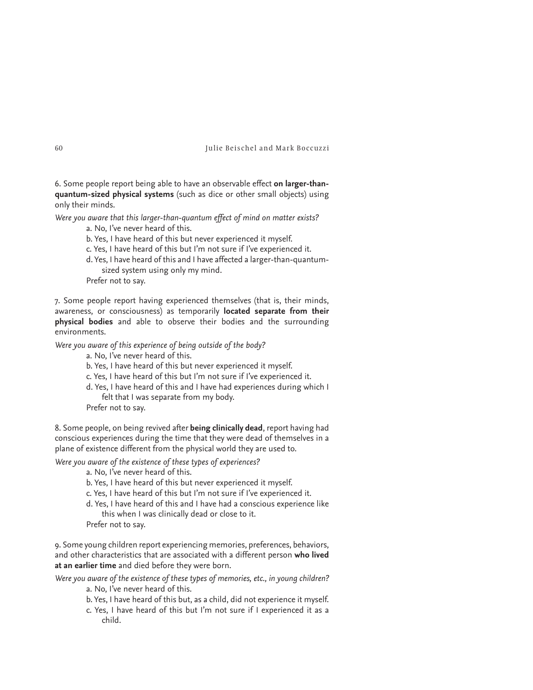6. Some people report being able to have an observable effect **on larger-thanquantum-sized physical systems** (such as dice or other small objects) using only their minds.

*Were you aware that this larger-than-quantum effect of mind on matter exists?*

a. No, I've never heard of this.

b. Yes, I have heard of this but never experienced it myself.

c. Yes, I have heard of this but I'm not sure if I've experienced it.

d. Yes, I have heard of this and I have affected a larger-than-quantumsized system using only my mind.

Prefer not to say.

7. Some people report having experienced themselves (that is, their minds, awareness, or consciousness) as temporarily **located separate from their physical bodies** and able to observe their bodies and the surrounding environments.

*Were you aware of this experience of being outside of the body?*

a. No, I've never heard of this.

b. Yes, I have heard of this but never experienced it myself.

c. Yes, I have heard of this but I'm not sure if I've experienced it.

d. Yes, I have heard of this and I have had experiences during which I felt that I was separate from my body.

Prefer not to say.

8. Some people, on being revived after **being clinically dead**, report having had conscious experiences during the time that they were dead of themselves in a plane of existence different from the physical world they are used to.

*Were you aware of the existence of these types of experiences?*

a. No, I've never heard of this.

b. Yes, I have heard of this but never experienced it myself.

c. Yes, I have heard of this but I'm not sure if I've experienced it.

d. Yes, I have heard of this and I have had a conscious experience like this when I was clinically dead or close to it.

Prefer not to say.

9. Some young children report experiencing memories, preferences, behaviors, and other characteristics that are associated with a different person **who lived at an earlier time** and died before they were born.

*Were you aware of the existence of these types of memories, etc., in young children?*

- a. No, I've never heard of this.
- b. Yes, I have heard of this but, as a child, did not experience it myself.
- c. Yes, I have heard of this but I'm not sure if I experienced it as a child.